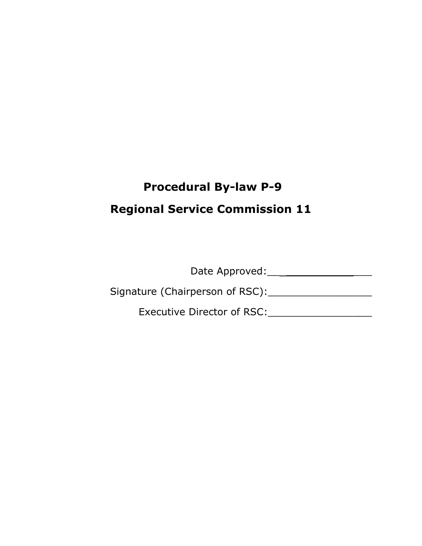# **Procedural By-law P-9**

# **Regional Service Commission 11**

Date Approved:\_\_ \_\_\_\_\_\_\_\_\_\_\_\_\_\_

Signature (Chairperson of RSC):\_\_\_\_\_\_\_\_\_\_\_\_\_\_\_\_\_

Executive Director of RSC:\_\_\_\_\_\_\_\_\_\_\_\_\_\_\_\_\_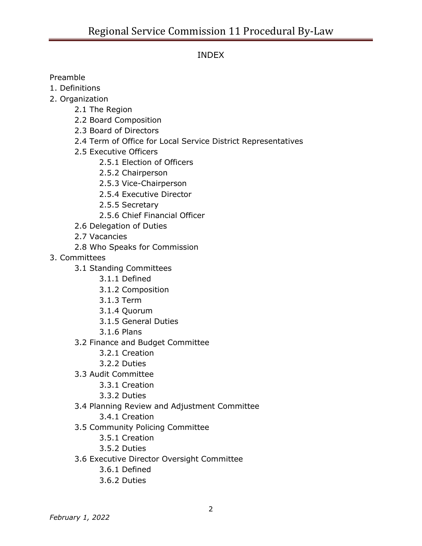# INDEX

Preamble

- 1. Definitions
- 2. Organization
	- 2.1 The Region
	- 2.2 Board Composition
	- 2.3 Board of Directors
	- 2.4 Term of Office for Local Service District Representatives
	- 2.5 Executive Officers
		- 2.5.1 Election of Officers
		- 2.5.2 Chairperson
		- 2.5.3 Vice-Chairperson
		- 2.5.4 Executive Director
		- 2.5.5 Secretary
		- 2.5.6 Chief Financial Officer
	- 2.6 Delegation of Duties
	- 2.7 Vacancies
	- 2.8 Who Speaks for Commission
- 3. Committees
	- 3.1 Standing Committees
		- 3.1.1 Defined
		- 3.1.2 Composition
		- 3.1.3 Term
		- 3.1.4 Quorum
		- 3.1.5 General Duties
		- 3.1.6 Plans
	- 3.2 Finance and Budget Committee
		- 3.2.1 Creation
		- 3.2.2 Duties
	- 3.3 Audit Committee
		- 3.3.1 Creation
		- 3.3.2 Duties
	- 3.4 Planning Review and Adjustment Committee
		- 3.4.1 Creation
	- 3.5 Community Policing Committee
		- 3.5.1 Creation
		- 3.5.2 Duties
	- 3.6 Executive Director Oversight Committee
		- 3.6.1 Defined
		- 3.6.2 Duties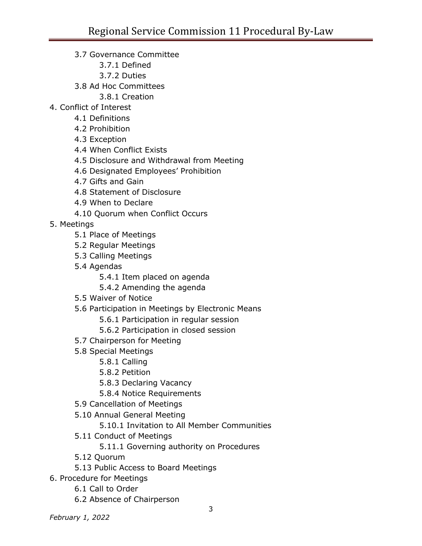- 3.7 Governance Committee
	- 3.7.1 Defined
	- 3.7.2 Duties
- 3.8 Ad Hoc Committees
	- 3.8.1 Creation
- 4. Conflict of Interest
	- 4.1 Definitions
	- 4.2 Prohibition
	- 4.3 Exception
	- 4.4 When Conflict Exists
	- 4.5 Disclosure and Withdrawal from Meeting
	- 4.6 Designated Employees' Prohibition
	- 4.7 Gifts and Gain
	- 4.8 Statement of Disclosure
	- 4.9 When to Declare
	- 4.10 Quorum when Conflict Occurs
- 5. Meetings
	- 5.1 Place of Meetings
	- 5.2 Regular Meetings
	- 5.3 Calling Meetings
	- 5.4 Agendas
		- 5.4.1 Item placed on agenda
		- 5.4.2 Amending the agenda
	- 5.5 Waiver of Notice
	- 5.6 Participation in Meetings by Electronic Means
		- 5.6.1 Participation in regular session
		- 5.6.2 Participation in closed session
	- 5.7 Chairperson for Meeting
	- 5.8 Special Meetings
		- 5.8.1 Calling
		- 5.8.2 Petition
		- 5.8.3 Declaring Vacancy
		- 5.8.4 Notice Requirements
	- 5.9 Cancellation of Meetings
	- 5.10 Annual General Meeting
		- 5.10.1 Invitation to All Member Communities
	- 5.11 Conduct of Meetings
		- 5.11.1 Governing authority on Procedures
	- 5.12 Quorum
	- 5.13 Public Access to Board Meetings
- 6. Procedure for Meetings
	- 6.1 Call to Order
	- 6.2 Absence of Chairperson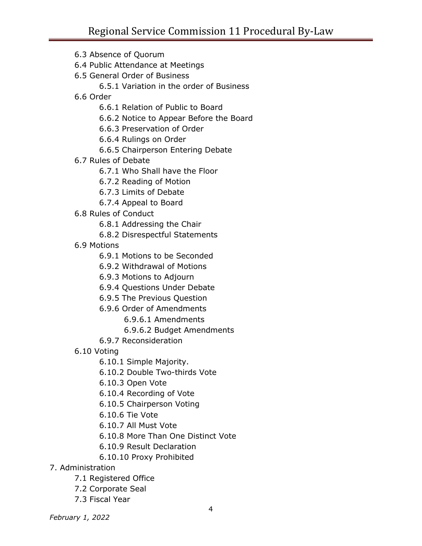6.3 Absence of Quorum 6.4 Public Attendance at Meetings 6.5 General Order of Business 6.5.1 Variation in the order of Business 6.6 Order 6.6.1 Relation of Public to Board 6.6.2 Notice to Appear Before the Board 6.6.3 Preservation of Order 6.6.4 Rulings on Order 6.6.5 Chairperson Entering Debate 6.7 Rules of Debate 6.7.1 Who Shall have the Floor 6.7.2 Reading of Motion 6.7.3 Limits of Debate 6.7.4 Appeal to Board 6.8 Rules of Conduct 6.8.1 Addressing the Chair 6.8.2 Disrespectful Statements 6.9 Motions 6.9.1 Motions to be Seconded 6.9.2 Withdrawal of Motions 6.9.3 Motions to Adjourn 6.9.4 Questions Under Debate 6.9.5 The Previous Question 6.9.6 Order of Amendments 6.9.6.1 Amendments 6.9.6.2 Budget Amendments 6.9.7 Reconsideration 6.10 Voting 6.10.1 Simple Majority. 6.10.2 Double Two-thirds Vote 6.10.3 Open Vote 6.10.4 Recording of Vote 6.10.5 Chairperson Voting 6.10.6 Tie Vote 6.10.7 All Must Vote 6.10.8 More Than One Distinct Vote 6.10.9 Result Declaration 6.10.10 Proxy Prohibited 7. Administration 7.1 Registered Office

- 7.2 Corporate Seal
- 7.3 Fiscal Year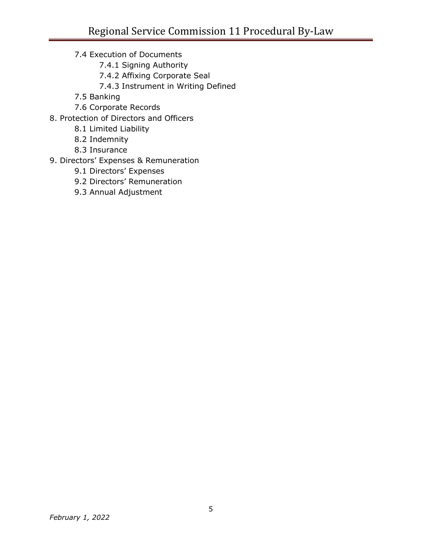- 7.4 Execution of Documents
	- 7.4.1 Signing Authority
	- 7.4.2 Affixing Corporate Seal
	- 7.4.3 Instrument in Writing Defined
- 7.5 Banking
- 7.6 Corporate Records
- 8. Protection of Directors and Officers
	- 8.1 Limited Liability
	- 8.2 Indemnity
	- 8.3 Insurance
- 9. Directors' Expenses & Remuneration
	- 9.1 Directors' Expenses
	- 9.2 Directors' Remuneration
	- 9.3 Annual Adjustment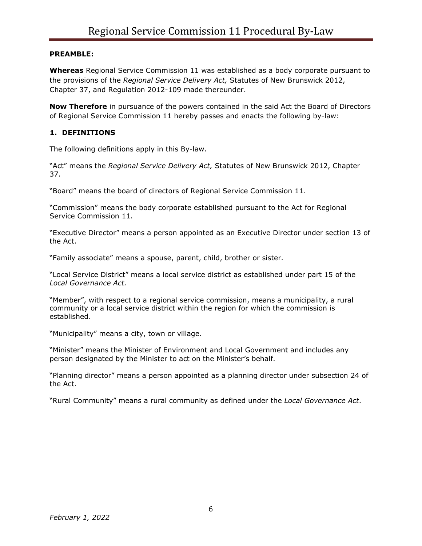#### **PREAMBLE:**

**Whereas** Regional Service Commission 11 was established as a body corporate pursuant to the provisions of the *Regional Service Delivery Act,* Statutes of New Brunswick 2012, Chapter 37, and Regulation 2012-109 made thereunder.

**Now Therefore** in pursuance of the powers contained in the said Act the Board of Directors of Regional Service Commission 11 hereby passes and enacts the following by-law:

#### **1. DEFINITIONS**

The following definitions apply in this By-law.

"Act" means the *Regional Service Delivery Act,* Statutes of New Brunswick 2012, Chapter 37.

"Board" means the board of directors of Regional Service Commission 11.

"Commission" means the body corporate established pursuant to the Act for Regional Service Commission 11.

"Executive Director" means a person appointed as an Executive Director under section 13 of the Act.

"Family associate" means a spouse, parent, child, brother or sister.

"Local Service District" means a local service district as established under part 15 of the *Local Governance Act.*

"Member", with respect to a regional service commission, means a municipality, a rural community or a local service district within the region for which the commission is established.

"Municipality" means a city, town or village.

"Minister" means the Minister of Environment and Local Government and includes any person designated by the Minister to act on the Minister's behalf.

"Planning director" means a person appointed as a planning director under subsection 24 of the Act.

"Rural Community" means a rural community as defined under the *Local Governance Act*.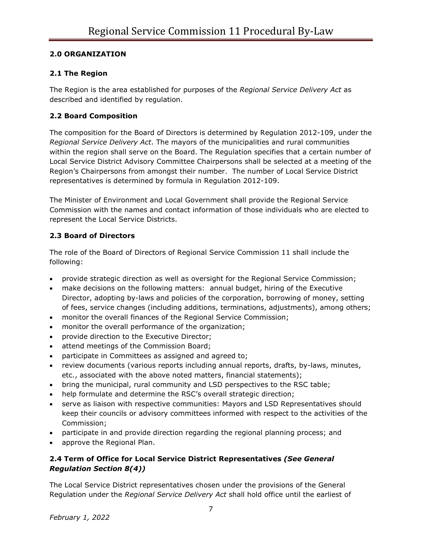#### **2.0 ORGANIZATION**

## **2.1 The Region**

The Region is the area established for purposes of the *Regional Service Delivery Act* as described and identified by regulation.

## **2.2 Board Composition**

The composition for the Board of Directors is determined by Regulation 2012-109, under the *Regional Service Delivery Act*. The mayors of the municipalities and rural communities within the region shall serve on the Board. The Regulation specifies that a certain number of Local Service District Advisory Committee Chairpersons shall be selected at a meeting of the Region's Chairpersons from amongst their number. The number of Local Service District representatives is determined by formula in Regulation 2012-109.

The Minister of Environment and Local Government shall provide the Regional Service Commission with the names and contact information of those individuals who are elected to represent the Local Service Districts.

## **2.3 Board of Directors**

The role of the Board of Directors of Regional Service Commission 11 shall include the following:

- provide strategic direction as well as oversight for the Regional Service Commission;
- make decisions on the following matters: annual budget, hiring of the Executive Director, adopting by-laws and policies of the corporation, borrowing of money, setting of fees, service changes (including additions, terminations, adjustments), among others;
- monitor the overall finances of the Regional Service Commission;
- monitor the overall performance of the organization;
- provide direction to the Executive Director;
- attend meetings of the Commission Board;
- participate in Committees as assigned and agreed to;
- review documents (various reports including annual reports, drafts, by-laws, minutes, etc., associated with the above noted matters, financial statements);
- bring the municipal, rural community and LSD perspectives to the RSC table;
- help formulate and determine the RSC's overall strategic direction;
- serve as liaison with respective communities: Mayors and LSD Representatives should keep their councils or advisory committees informed with respect to the activities of the Commission;
- participate in and provide direction regarding the regional planning process; and
- approve the Regional Plan.

## **2.4 Term of Office for Local Service District Representatives** *(See General Regulation Section 8(4))*

The Local Service District representatives chosen under the provisions of the General Regulation under the *Regional Service Delivery Act* shall hold office until the earliest of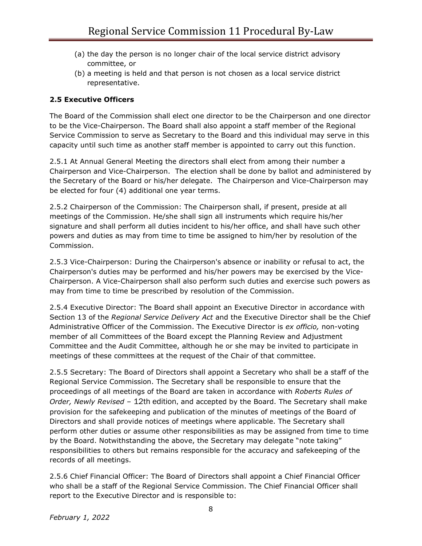- (a) the day the person is no longer chair of the local service district advisory committee, or
- (b) a meeting is held and that person is not chosen as a local service district representative.

## **2.5 Executive Officers**

The Board of the Commission shall elect one director to be the Chairperson and one director to be the Vice-Chairperson. The Board shall also appoint a staff member of the Regional Service Commission to serve as Secretary to the Board and this individual may serve in this capacity until such time as another staff member is appointed to carry out this function.

2.5.1 At Annual General Meeting the directors shall elect from among their number a Chairperson and Vice-Chairperson. The election shall be done by ballot and administered by the Secretary of the Board or his/her delegate. The Chairperson and Vice-Chairperson may be elected for four (4) additional one year terms.

2.5.2 Chairperson of the Commission: The Chairperson shall, if present, preside at all meetings of the Commission. He/she shall sign all instruments which require his/her signature and shall perform all duties incident to his/her office, and shall have such other powers and duties as may from time to time be assigned to him/her by resolution of the Commission.

2.5.3 Vice-Chairperson: During the Chairperson's absence or inability or refusal to act, the Chairperson's duties may be performed and his/her powers may be exercised by the Vice-Chairperson. A Vice-Chairperson shall also perform such duties and exercise such powers as may from time to time be prescribed by resolution of the Commission.

2.5.4 Executive Director: The Board shall appoint an Executive Director in accordance with Section 13 of the *Regional Service Delivery Act* and the Executive Director shall be the Chief Administrative Officer of the Commission. The Executive Director is *ex officio,* non-voting member of all Committees of the Board except the Planning Review and Adjustment Committee and the Audit Committee, although he or she may be invited to participate in meetings of these committees at the request of the Chair of that committee.

2.5.5 Secretary: The Board of Directors shall appoint a Secretary who shall be a staff of the Regional Service Commission. The Secretary shall be responsible to ensure that the proceedings of all meetings of the Board are taken in accordance with *Roberts Rules of Order, Newly Revised –* 12th edition, and accepted by the Board. The Secretary shall make provision for the safekeeping and publication of the minutes of meetings of the Board of Directors and shall provide notices of meetings where applicable. The Secretary shall perform other duties or assume other responsibilities as may be assigned from time to time by the Board. Notwithstanding the above, the Secretary may delegate "note taking" responsibilities to others but remains responsible for the accuracy and safekeeping of the records of all meetings.

2.5.6 Chief Financial Officer: The Board of Directors shall appoint a Chief Financial Officer who shall be a staff of the Regional Service Commission. The Chief Financial Officer shall report to the Executive Director and is responsible to: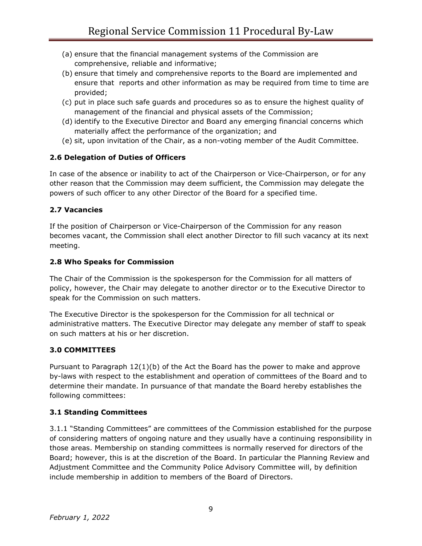- (a) ensure that the financial management systems of the Commission are comprehensive, reliable and informative;
- (b) ensure that timely and comprehensive reports to the Board are implemented and ensure that reports and other information as may be required from time to time are provided;
- (c) put in place such safe guards and procedures so as to ensure the highest quality of management of the financial and physical assets of the Commission;
- (d) identify to the Executive Director and Board any emerging financial concerns which materially affect the performance of the organization; and
- (e) sit, upon invitation of the Chair, as a non-voting member of the Audit Committee.

## **2.6 Delegation of Duties of Officers**

In case of the absence or inability to act of the Chairperson or Vice-Chairperson, or for any other reason that the Commission may deem sufficient, the Commission may delegate the powers of such officer to any other Director of the Board for a specified time.

#### **2.7 Vacancies**

If the position of Chairperson or Vice-Chairperson of the Commission for any reason becomes vacant, the Commission shall elect another Director to fill such vacancy at its next meeting.

#### **2.8 Who Speaks for Commission**

The Chair of the Commission is the spokesperson for the Commission for all matters of policy, however, the Chair may delegate to another director or to the Executive Director to speak for the Commission on such matters.

The Executive Director is the spokesperson for the Commission for all technical or administrative matters. The Executive Director may delegate any member of staff to speak on such matters at his or her discretion.

#### **3.0 COMMITTEES**

Pursuant to Paragraph  $12(1)(b)$  of the Act the Board has the power to make and approve by-laws with respect to the establishment and operation of committees of the Board and to determine their mandate. In pursuance of that mandate the Board hereby establishes the following committees:

#### **3.1 Standing Committees**

3.1.1 "Standing Committees" are committees of the Commission established for the purpose of considering matters of ongoing nature and they usually have a continuing responsibility in those areas. Membership on standing committees is normally reserved for directors of the Board; however, this is at the discretion of the Board. In particular the Planning Review and Adjustment Committee and the Community Police Advisory Committee will, by definition include membership in addition to members of the Board of Directors.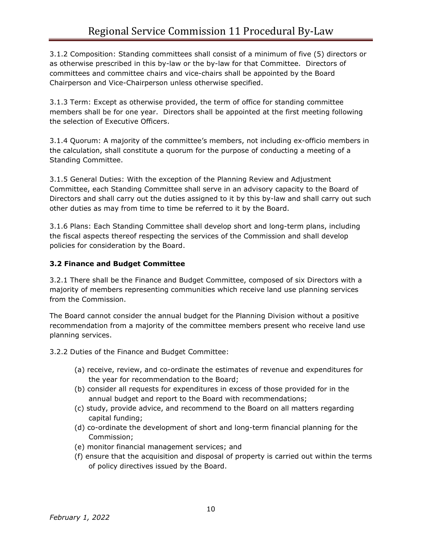3.1.2 Composition: Standing committees shall consist of a minimum of five (5) directors or as otherwise prescribed in this by-law or the by-law for that Committee. Directors of committees and committee chairs and vice-chairs shall be appointed by the Board Chairperson and Vice-Chairperson unless otherwise specified.

3.1.3 Term: Except as otherwise provided, the term of office for standing committee members shall be for one year. Directors shall be appointed at the first meeting following the selection of Executive Officers.

3.1.4 Quorum: A majority of the committee's members, not including ex-officio members in the calculation, shall constitute a quorum for the purpose of conducting a meeting of a Standing Committee.

3.1.5 General Duties: With the exception of the Planning Review and Adjustment Committee, each Standing Committee shall serve in an advisory capacity to the Board of Directors and shall carry out the duties assigned to it by this by-law and shall carry out such other duties as may from time to time be referred to it by the Board.

3.1.6 Plans: Each Standing Committee shall develop short and long-term plans, including the fiscal aspects thereof respecting the services of the Commission and shall develop policies for consideration by the Board.

## **3.2 Finance and Budget Committee**

3.2.1 There shall be the Finance and Budget Committee, composed of six Directors with a majority of members representing communities which receive land use planning services from the Commission.

The Board cannot consider the annual budget for the Planning Division without a positive recommendation from a majority of the committee members present who receive land use planning services.

3.2.2 Duties of the Finance and Budget Committee:

- (a) receive, review, and co-ordinate the estimates of revenue and expenditures for the year for recommendation to the Board;
- (b) consider all requests for expenditures in excess of those provided for in the annual budget and report to the Board with recommendations;
- (c) study, provide advice, and recommend to the Board on all matters regarding capital funding;
- (d) co-ordinate the development of short and long-term financial planning for the Commission;
- (e) monitor financial management services; and
- (f) ensure that the acquisition and disposal of property is carried out within the terms of policy directives issued by the Board.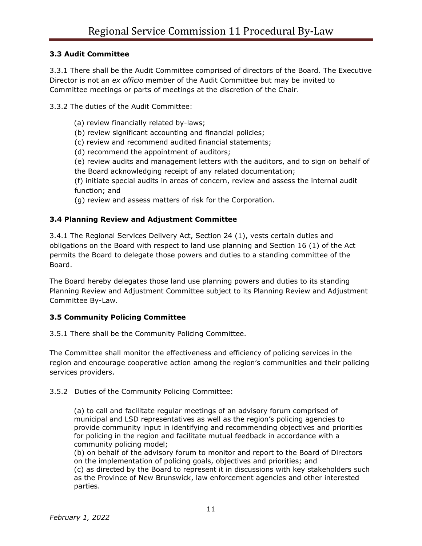#### **3.3 Audit Committee**

3.3.1 There shall be the Audit Committee comprised of directors of the Board. The Executive Director is not an *ex officio* member of the Audit Committee but may be invited to Committee meetings or parts of meetings at the discretion of the Chair.

3.3.2 The duties of the Audit Committee:

- (a) review financially related by-laws;
- (b) review significant accounting and financial policies;
- (c) review and recommend audited financial statements;
- (d) recommend the appointment of auditors;
- (e) review audits and management letters with the auditors, and to sign on behalf of the Board acknowledging receipt of any related documentation;

(f) initiate special audits in areas of concern, review and assess the internal audit function; and

(g) review and assess matters of risk for the Corporation.

#### **3.4 Planning Review and Adjustment Committee**

3.4.1 The Regional Services Delivery Act, Section 24 (1), vests certain duties and obligations on the Board with respect to land use planning and Section 16 (1) of the Act permits the Board to delegate those powers and duties to a standing committee of the Board.

The Board hereby delegates those land use planning powers and duties to its standing Planning Review and Adjustment Committee subject to its Planning Review and Adjustment Committee By-Law.

#### **3.5 Community Policing Committee**

3.5.1 There shall be the Community Policing Committee.

The Committee shall monitor the effectiveness and efficiency of policing services in the region and encourage cooperative action among the region's communities and their policing services providers.

3.5.2 Duties of the Community Policing Committee:

(a) to call and facilitate regular meetings of an advisory forum comprised of municipal and LSD representatives as well as the region's policing agencies to provide community input in identifying and recommending objectives and priorities for policing in the region and facilitate mutual feedback in accordance with a community policing model;

(b) on behalf of the advisory forum to monitor and report to the Board of Directors on the implementation of policing goals, objectives and priorities; and

(c) as directed by the Board to represent it in discussions with key stakeholders such as the Province of New Brunswick, law enforcement agencies and other interested parties.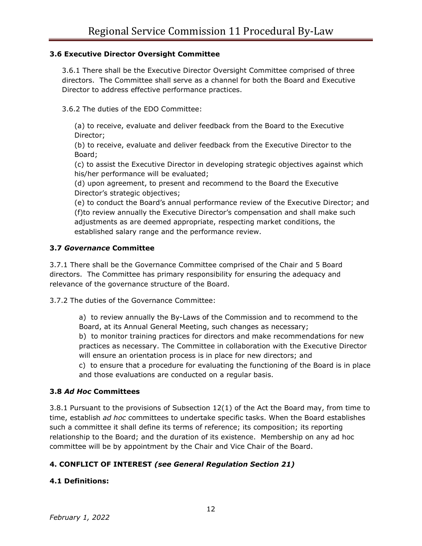#### **3.6 Executive Director Oversight Committee**

3.6.1 There shall be the Executive Director Oversight Committee comprised of three directors. The Committee shall serve as a channel for both the Board and Executive Director to address effective performance practices.

3.6.2 The duties of the EDO Committee:

(a) to receive, evaluate and deliver feedback from the Board to the Executive Director;

(b) to receive, evaluate and deliver feedback from the Executive Director to the Board;

(c) to assist the Executive Director in developing strategic objectives against which his/her performance will be evaluated;

(d) upon agreement, to present and recommend to the Board the Executive Director's strategic objectives;

(e) to conduct the Board's annual performance review of the Executive Director; and (f)to review annually the Executive Director's compensation and shall make such adjustments as are deemed appropriate, respecting market conditions, the established salary range and the performance review.

#### **3.7** *Governance* **Committee**

3.7.1 There shall be the Governance Committee comprised of the Chair and 5 Board directors. The Committee has primary responsibility for ensuring the adequacy and relevance of the governance structure of the Board.

3.7.2 The duties of the Governance Committee:

a) to review annually the By-Laws of the Commission and to recommend to the Board, at its Annual General Meeting, such changes as necessary;

b) to monitor training practices for directors and make recommendations for new practices as necessary. The Committee in collaboration with the Executive Director will ensure an orientation process is in place for new directors; and

c) to ensure that a procedure for evaluating the functioning of the Board is in place and those evaluations are conducted on a regular basis.

#### **3.8** *Ad Hoc* **Committees**

3.8.1 Pursuant to the provisions of Subsection 12(1) of the Act the Board may, from time to time, establish *ad hoc* committees to undertake specific tasks. When the Board establishes such a committee it shall define its terms of reference; its composition; its reporting relationship to the Board; and the duration of its existence. Membership on any ad hoc committee will be by appointment by the Chair and Vice Chair of the Board.

#### **4. CONFLICT OF INTEREST** *(see General Regulation Section 21)*

#### **4.1 Definitions:**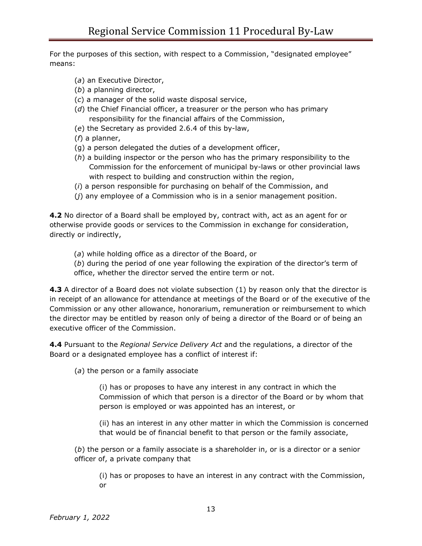For the purposes of this section, with respect to a Commission, "designated employee" means:

- (*a*) an Executive Director,
- (*b*) a planning director,
- (*c*) a manager of the solid waste disposal service,
- (*d*) the Chief Financial officer, a treasurer or the person who has primary responsibility for the financial affairs of the Commission,
- (*e*) the Secretary as provided 2.6.4 of this by-law,
- (*f*) a planner,
- (g) a person delegated the duties of a development officer,
- (*h*) a building inspector or the person who has the primary responsibility to the Commission for the enforcement of municipal by-laws or other provincial laws with respect to building and construction within the region,
- (*i*) a person responsible for purchasing on behalf of the Commission, and
- (*j*) any employee of a Commission who is in a senior management position.

**4.2** No director of a Board shall be employed by, contract with, act as an agent for or otherwise provide goods or services to the Commission in exchange for consideration, directly or indirectly,

(*a*) while holding office as a director of the Board, or

(*b*) during the period of one year following the expiration of the director's term of office, whether the director served the entire term or not.

**4.3** A director of a Board does not violate subsection (1) by reason only that the director is in receipt of an allowance for attendance at meetings of the Board or of the executive of the Commission or any other allowance, honorarium, remuneration or reimbursement to which the director may be entitled by reason only of being a director of the Board or of being an executive officer of the Commission.

**4.4** Pursuant to the *Regional Service Delivery Act* and the regulations, a director of the Board or a designated employee has a conflict of interest if:

(*a*) the person or a family associate

(i) has or proposes to have any interest in any contract in which the Commission of which that person is a director of the Board or by whom that person is employed or was appointed has an interest, or

(ii) has an interest in any other matter in which the Commission is concerned that would be of financial benefit to that person or the family associate,

(*b*) the person or a family associate is a shareholder in, or is a director or a senior officer of, a private company that

(i) has or proposes to have an interest in any contract with the Commission, or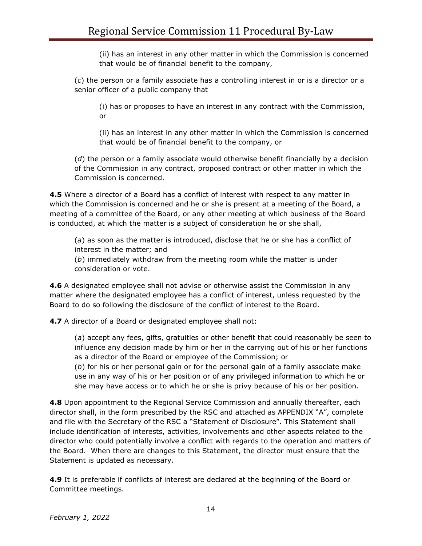(ii) has an interest in any other matter in which the Commission is concerned that would be of financial benefit to the company,

(*c*) the person or a family associate has a controlling interest in or is a director or a senior officer of a public company that

(i) has or proposes to have an interest in any contract with the Commission, or

(ii) has an interest in any other matter in which the Commission is concerned that would be of financial benefit to the company, or

(*d*) the person or a family associate would otherwise benefit financially by a decision of the Commission in any contract, proposed contract or other matter in which the Commission is concerned.

**4.5** Where a director of a Board has a conflict of interest with respect to any matter in which the Commission is concerned and he or she is present at a meeting of the Board, a meeting of a committee of the Board, or any other meeting at which business of the Board is conducted, at which the matter is a subject of consideration he or she shall,

(*a*) as soon as the matter is introduced, disclose that he or she has a conflict of interest in the matter; and

(*b*) immediately withdraw from the meeting room while the matter is under consideration or vote.

**4.6** A designated employee shall not advise or otherwise assist the Commission in any matter where the designated employee has a conflict of interest, unless requested by the Board to do so following the disclosure of the conflict of interest to the Board.

**4.7** A director of a Board or designated employee shall not:

(*a*) accept any fees, gifts, gratuities or other benefit that could reasonably be seen to influence any decision made by him or her in the carrying out of his or her functions as a director of the Board or employee of the Commission; or

(*b*) for his or her personal gain or for the personal gain of a family associate make use in any way of his or her position or of any privileged information to which he or she may have access or to which he or she is privy because of his or her position.

**4.8** Upon appointment to the Regional Service Commission and annually thereafter, each director shall, in the form prescribed by the RSC and attached as APPENDIX "A", complete and file with the Secretary of the RSC a "Statement of Disclosure". This Statement shall include identification of interests, activities, involvements and other aspects related to the director who could potentially involve a conflict with regards to the operation and matters of the Board. When there are changes to this Statement, the director must ensure that the Statement is updated as necessary.

**4.9** It is preferable if conflicts of interest are declared at the beginning of the Board or Committee meetings.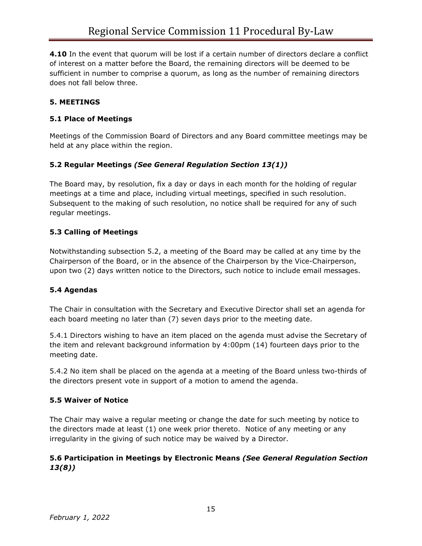**4.10** In the event that quorum will be lost if a certain number of directors declare a conflict of interest on a matter before the Board, the remaining directors will be deemed to be sufficient in number to comprise a quorum, as long as the number of remaining directors does not fall below three.

## **5. MEETINGS**

#### **5.1 Place of Meetings**

Meetings of the Commission Board of Directors and any Board committee meetings may be held at any place within the region.

## **5.2 Regular Meetings** *(See General Regulation Section 13(1))*

The Board may, by resolution, fix a day or days in each month for the holding of regular meetings at a time and place, including virtual meetings, specified in such resolution. Subsequent to the making of such resolution, no notice shall be required for any of such regular meetings.

## **5.3 Calling of Meetings**

Notwithstanding subsection 5.2, a meeting of the Board may be called at any time by the Chairperson of the Board, or in the absence of the Chairperson by the Vice-Chairperson, upon two (2) days written notice to the Directors, such notice to include email messages.

#### **5.4 Agendas**

The Chair in consultation with the Secretary and Executive Director shall set an agenda for each board meeting no later than (7) seven days prior to the meeting date.

5.4.1 Directors wishing to have an item placed on the agenda must advise the Secretary of the item and relevant background information by 4:00pm (14) fourteen days prior to the meeting date.

5.4.2 No item shall be placed on the agenda at a meeting of the Board unless two-thirds of the directors present vote in support of a motion to amend the agenda.

#### **5.5 Waiver of Notice**

The Chair may waive a regular meeting or change the date for such meeting by notice to the directors made at least (1) one week prior thereto. Notice of any meeting or any irregularity in the giving of such notice may be waived by a Director.

#### **5.6 Participation in Meetings by Electronic Means** *(See General Regulation Section 13(8))*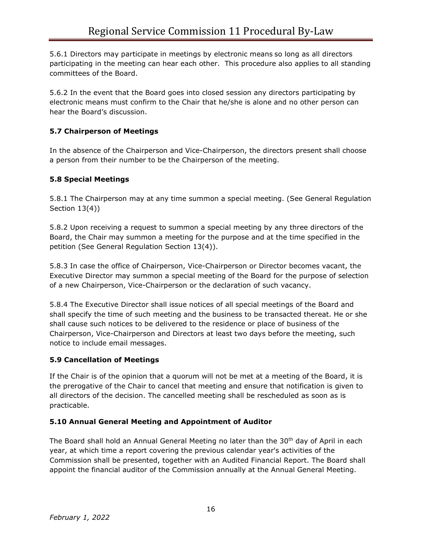5.6.1 Directors may participate in meetings by electronic means so long as all directors participating in the meeting can hear each other. This procedure also applies to all standing committees of the Board.

5.6.2 In the event that the Board goes into closed session any directors participating by electronic means must confirm to the Chair that he/she is alone and no other person can hear the Board's discussion.

# **5.7 Chairperson of Meetings**

In the absence of the Chairperson and Vice-Chairperson, the directors present shall choose a person from their number to be the Chairperson of the meeting.

## **5.8 Special Meetings**

5.8.1 The Chairperson may at any time summon a special meeting. (See General Regulation Section 13(4))

5.8.2 Upon receiving a request to summon a special meeting by any three directors of the Board, the Chair may summon a meeting for the purpose and at the time specified in the petition (See General Regulation Section 13(4)).

5.8.3 In case the office of Chairperson, Vice-Chairperson or Director becomes vacant, the Executive Director may summon a special meeting of the Board for the purpose of selection of a new Chairperson, Vice-Chairperson or the declaration of such vacancy.

5.8.4 The Executive Director shall issue notices of all special meetings of the Board and shall specify the time of such meeting and the business to be transacted thereat. He or she shall cause such notices to be delivered to the residence or place of business of the Chairperson, Vice-Chairperson and Directors at least two days before the meeting, such notice to include email messages.

## **5.9 Cancellation of Meetings**

If the Chair is of the opinion that a quorum will not be met at a meeting of the Board, it is the prerogative of the Chair to cancel that meeting and ensure that notification is given to all directors of the decision. The cancelled meeting shall be rescheduled as soon as is practicable.

## **5.10 Annual General Meeting and Appointment of Auditor**

The Board shall hold an Annual General Meeting no later than the  $30<sup>th</sup>$  day of April in each year, at which time a report covering the previous calendar year's activities of the Commission shall be presented, together with an Audited Financial Report. The Board shall appoint the financial auditor of the Commission annually at the Annual General Meeting.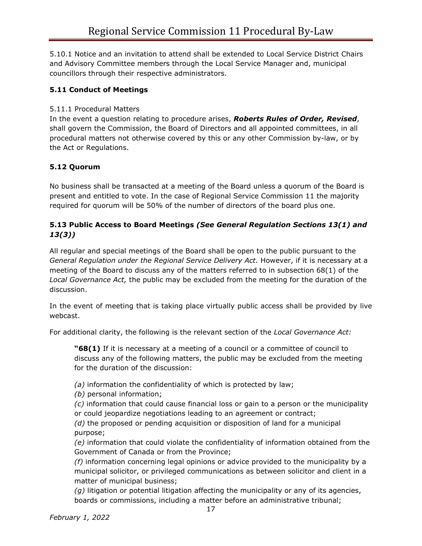5.10.1 Notice and an invitation to attend shall be extended to Local Service District Chairs and Advisory Committee members through the Local Service Manager and, municipal councillors through their respective administrators.

## **5.11 Conduct of Meetings**

#### 5.11.1 Procedural Matters

In the event a question relating to procedure arises, *Roberts Rules of Order, Revised*, shall govern the Commission, the Board of Directors and all appointed committees, in all procedural matters not otherwise covered by this or any other Commission by-law, or by the Act or Regulations.

## **5.12 Quorum**

No business shall be transacted at a meeting of the Board unless a quorum of the Board is present and entitled to vote. In the case of Regional Service Commission 11 the majority required for quorum will be 50% of the number of directors of the board plus one.

#### **5.13 Public Access to Board Meetings** *(See General Regulation Sections 13(1) and 13(3))*

All regular and special meetings of the Board shall be open to the public pursuant to the *General Regulation under the Regional Service Delivery Act.* However, if it is necessary at a meeting of the Board to discuss any of the matters referred to in subsection 68(1) of the *Local Governance Act,* the public may be excluded from the meeting for the duration of the discussion.

In the event of meeting that is taking place virtually public access shall be provided by live webcast.

For additional clarity, the following is the relevant section of the *Local Governance Act:*

**"68(1)** If it is necessary at a meeting of a council or a committee of council to discuss any of the following matters, the public may be excluded from the meeting for the duration of the discussion:

*(a)* information the confidentiality of which is protected by law;

*(b)* personal information;

*(c)* information that could cause financial loss or gain to a person or the municipality or could jeopardize negotiations leading to an agreement or contract;

*(d)* the proposed or pending acquisition or disposition of land for a municipal purpose;

*(e)* information that could violate the confidentiality of information obtained from the Government of Canada or from the Province;

*(f)* information concerning legal opinions or advice provided to the municipality by a municipal solicitor, or privileged communications as between solicitor and client in a matter of municipal business;

*(g)* litigation or potential litigation affecting the municipality or any of its agencies, boards or commissions, including a matter before an administrative tribunal;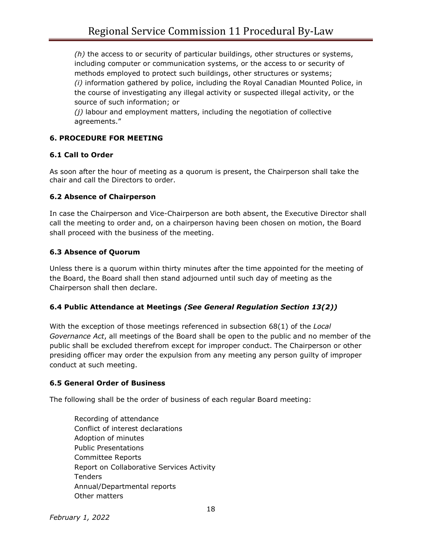*(h)* the access to or security of particular buildings, other structures or systems, including computer or communication systems, or the access to or security of methods employed to protect such buildings, other structures or systems; *(i)* information gathered by police, including the Royal Canadian Mounted Police, in the course of investigating any illegal activity or suspected illegal activity, or the source of such information; or

*(j)* labour and employment matters, including the negotiation of collective agreements."

## **6. PROCEDURE FOR MEETING**

#### **6.1 Call to Order**

As soon after the hour of meeting as a quorum is present, the Chairperson shall take the chair and call the Directors to order.

#### **6.2 Absence of Chairperson**

In case the Chairperson and Vice-Chairperson are both absent, the Executive Director shall call the meeting to order and, on a chairperson having been chosen on motion, the Board shall proceed with the business of the meeting.

## **6.3 Absence of Quorum**

Unless there is a quorum within thirty minutes after the time appointed for the meeting of the Board, the Board shall then stand adjourned until such day of meeting as the Chairperson shall then declare.

## **6.4 Public Attendance at Meetings** *(See General Regulation Section 13(2))*

With the exception of those meetings referenced in subsection 68(1) of the *Local Governance Act*, all meetings of the Board shall be open to the public and no member of the public shall be excluded therefrom except for improper conduct. The Chairperson or other presiding officer may order the expulsion from any meeting any person guilty of improper conduct at such meeting.

## **6.5 General Order of Business**

The following shall be the order of business of each regular Board meeting:

Recording of attendance Conflict of interest declarations Adoption of minutes Public Presentations Committee Reports Report on Collaborative Services Activity Tenders Annual/Departmental reports Other matters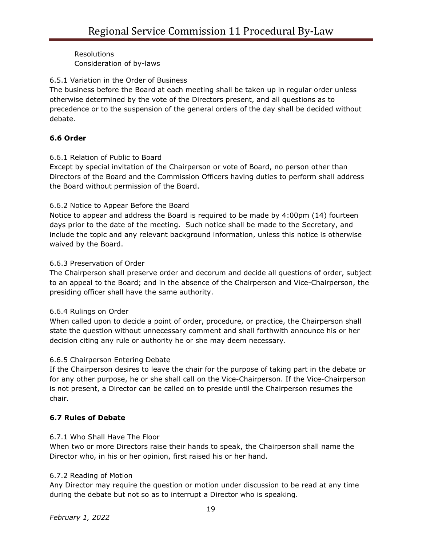Resolutions Consideration of by-laws

#### 6.5.1 Variation in the Order of Business

The business before the Board at each meeting shall be taken up in regular order unless otherwise determined by the vote of the Directors present, and all questions as to precedence or to the suspension of the general orders of the day shall be decided without debate.

## **6.6 Order**

#### 6.6.1 Relation of Public to Board

Except by special invitation of the Chairperson or vote of Board, no person other than Directors of the Board and the Commission Officers having duties to perform shall address the Board without permission of the Board.

#### 6.6.2 Notice to Appear Before the Board

Notice to appear and address the Board is required to be made by 4:00pm (14) fourteen days prior to the date of the meeting. Such notice shall be made to the Secretary, and include the topic and any relevant background information, unless this notice is otherwise waived by the Board.

#### 6.6.3 Preservation of Order

The Chairperson shall preserve order and decorum and decide all questions of order, subject to an appeal to the Board; and in the absence of the Chairperson and Vice-Chairperson, the presiding officer shall have the same authority.

#### 6.6.4 Rulings on Order

When called upon to decide a point of order, procedure, or practice, the Chairperson shall state the question without unnecessary comment and shall forthwith announce his or her decision citing any rule or authority he or she may deem necessary.

#### 6.6.5 Chairperson Entering Debate

If the Chairperson desires to leave the chair for the purpose of taking part in the debate or for any other purpose, he or she shall call on the Vice-Chairperson. If the Vice-Chairperson is not present, a Director can be called on to preside until the Chairperson resumes the chair.

#### **6.7 Rules of Debate**

#### 6.7.1 Who Shall Have The Floor

When two or more Directors raise their hands to speak, the Chairperson shall name the Director who, in his or her opinion, first raised his or her hand.

#### 6.7.2 Reading of Motion

Any Director may require the question or motion under discussion to be read at any time during the debate but not so as to interrupt a Director who is speaking.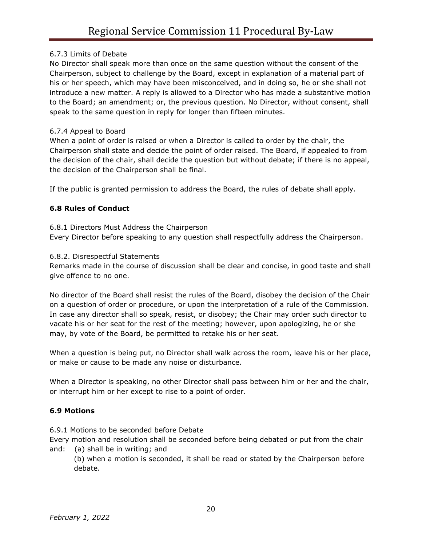#### 6.7.3 Limits of Debate

No Director shall speak more than once on the same question without the consent of the Chairperson, subject to challenge by the Board, except in explanation of a material part of his or her speech, which may have been misconceived, and in doing so, he or she shall not introduce a new matter. A reply is allowed to a Director who has made a substantive motion to the Board; an amendment; or, the previous question. No Director, without consent, shall speak to the same question in reply for longer than fifteen minutes.

#### 6.7.4 Appeal to Board

When a point of order is raised or when a Director is called to order by the chair, the Chairperson shall state and decide the point of order raised. The Board, if appealed to from the decision of the chair, shall decide the question but without debate; if there is no appeal, the decision of the Chairperson shall be final.

If the public is granted permission to address the Board, the rules of debate shall apply.

## **6.8 Rules of Conduct**

#### 6.8.1 Directors Must Address the Chairperson

Every Director before speaking to any question shall respectfully address the Chairperson.

#### 6.8.2. Disrespectful Statements

Remarks made in the course of discussion shall be clear and concise, in good taste and shall give offence to no one.

No director of the Board shall resist the rules of the Board, disobey the decision of the Chair on a question of order or procedure, or upon the interpretation of a rule of the Commission. In case any director shall so speak, resist, or disobey; the Chair may order such director to vacate his or her seat for the rest of the meeting; however, upon apologizing, he or she may, by vote of the Board, be permitted to retake his or her seat.

When a question is being put, no Director shall walk across the room, leave his or her place, or make or cause to be made any noise or disturbance.

When a Director is speaking, no other Director shall pass between him or her and the chair, or interrupt him or her except to rise to a point of order.

#### **6.9 Motions**

6.9.1 Motions to be seconded before Debate

Every motion and resolution shall be seconded before being debated or put from the chair and: (a) shall be in writing; and

(b) when a motion is seconded, it shall be read or stated by the Chairperson before debate.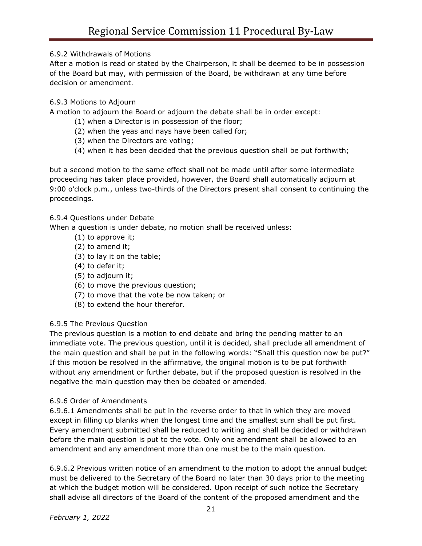6.9.2 Withdrawals of Motions

After a motion is read or stated by the Chairperson, it shall be deemed to be in possession of the Board but may, with permission of the Board, be withdrawn at any time before decision or amendment.

# 6.9.3 Motions to Adjourn

A motion to adjourn the Board or adjourn the debate shall be in order except:

- (1) when a Director is in possession of the floor;
- (2) when the yeas and nays have been called for;
- (3) when the Directors are voting;
- (4) when it has been decided that the previous question shall be put forthwith;

but a second motion to the same effect shall not be made until after some intermediate proceeding has taken place provided, however, the Board shall automatically adjourn at 9:00 o'clock p.m., unless two-thirds of the Directors present shall consent to continuing the proceedings.

## 6.9.4 Questions under Debate

When a question is under debate, no motion shall be received unless:

- (1) to approve it;
- (2) to amend it;
- (3) to lay it on the table;
- (4) to defer it;
- (5) to adjourn it;
- (6) to move the previous question;
- (7) to move that the vote be now taken; or
- (8) to extend the hour therefor.

## 6.9.5 The Previous Question

The previous question is a motion to end debate and bring the pending matter to an immediate vote. The previous question, until it is decided, shall preclude all amendment of the main question and shall be put in the following words: "Shall this question now be put?" If this motion be resolved in the affirmative, the original motion is to be put forthwith without any amendment or further debate, but if the proposed question is resolved in the negative the main question may then be debated or amended.

#### 6.9.6 Order of Amendments

6.9.6.1 Amendments shall be put in the reverse order to that in which they are moved except in filling up blanks when the longest time and the smallest sum shall be put first. Every amendment submitted shall be reduced to writing and shall be decided or withdrawn before the main question is put to the vote. Only one amendment shall be allowed to an amendment and any amendment more than one must be to the main question.

6.9.6.2 Previous written notice of an amendment to the motion to adopt the annual budget must be delivered to the Secretary of the Board no later than 30 days prior to the meeting at which the budget motion will be considered. Upon receipt of such notice the Secretary shall advise all directors of the Board of the content of the proposed amendment and the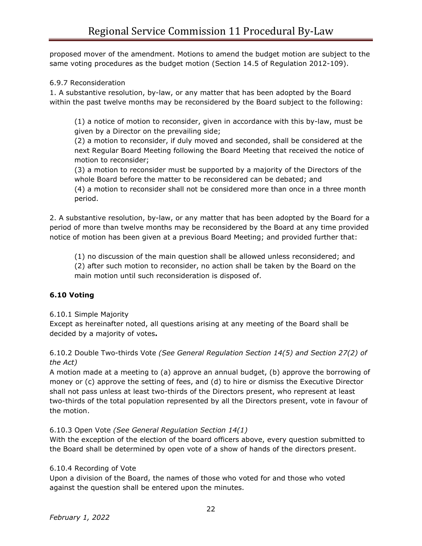proposed mover of the amendment. Motions to amend the budget motion are subject to the same voting procedures as the budget motion (Section 14.5 of Regulation 2012-109).

#### 6.9.7 Reconsideration

1. A substantive resolution, by-law, or any matter that has been adopted by the Board within the past twelve months may be reconsidered by the Board subject to the following:

(1) a notice of motion to reconsider, given in accordance with this by-law, must be given by a Director on the prevailing side;

(2) a motion to reconsider, if duly moved and seconded, shall be considered at the next Regular Board Meeting following the Board Meeting that received the notice of motion to reconsider;

(3) a motion to reconsider must be supported by a majority of the Directors of the whole Board before the matter to be reconsidered can be debated; and

(4) a motion to reconsider shall not be considered more than once in a three month period.

2. A substantive resolution, by-law, or any matter that has been adopted by the Board for a period of more than twelve months may be reconsidered by the Board at any time provided notice of motion has been given at a previous Board Meeting; and provided further that:

(1) no discussion of the main question shall be allowed unless reconsidered; and (2) after such motion to reconsider, no action shall be taken by the Board on the main motion until such reconsideration is disposed of.

## **6.10 Voting**

#### 6.10.1 Simple Majority

Except as hereinafter noted, all questions arising at any meeting of the Board shall be decided by a majority of votes**.**

#### 6.10.2 Double Two-thirds Vote *(See General Regulation Section 14(5) and Section 27(2) of the Act)*

A motion made at a meeting to (a) approve an annual budget, (b) approve the borrowing of money or (c) approve the setting of fees, and (d) to hire or dismiss the Executive Director shall not pass unless at least two-thirds of the Directors present, who represent at least two-thirds of the total population represented by all the Directors present, vote in favour of the motion.

## 6.10.3 Open Vote *(See General Regulation Section 14(1)*

With the exception of the election of the board officers above, every question submitted to the Board shall be determined by open vote of a show of hands of the directors present.

## 6.10.4 Recording of Vote

Upon a division of the Board, the names of those who voted for and those who voted against the question shall be entered upon the minutes.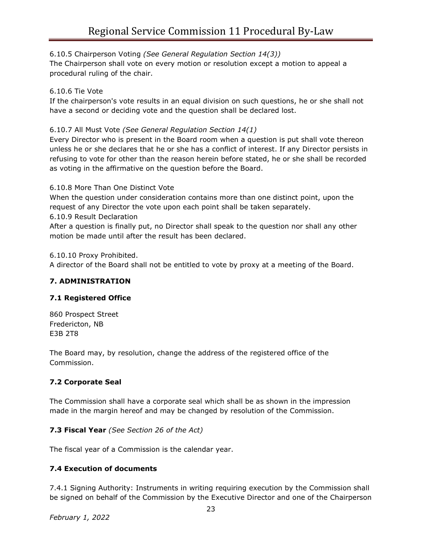#### 6.10.5 Chairperson Voting *(See General Regulation Section 14(3))*

The Chairperson shall vote on every motion or resolution except a motion to appeal a procedural ruling of the chair.

#### 6.10.6 Tie Vote

If the chairperson's vote results in an equal division on such questions, he or she shall not have a second or deciding vote and the question shall be declared lost.

#### 6.10.7 All Must Vote *(See General Regulation Section 14(1)*

Every Director who is present in the Board room when a question is put shall vote thereon unless he or she declares that he or she has a conflict of interest. If any Director persists in refusing to vote for other than the reason herein before stated, he or she shall be recorded as voting in the affirmative on the question before the Board.

6.10.8 More Than One Distinct Vote

When the question under consideration contains more than one distinct point, upon the request of any Director the vote upon each point shall be taken separately.

6.10.9 Result Declaration

After a question is finally put, no Director shall speak to the question nor shall any other motion be made until after the result has been declared.

6.10.10 Proxy Prohibited.

A director of the Board shall not be entitled to vote by proxy at a meeting of the Board.

#### **7. ADMINISTRATION**

#### **7.1 Registered Office**

860 Prospect Street Fredericton, NB E3B 2T8

The Board may, by resolution, change the address of the registered office of the Commission.

#### **7.2 Corporate Seal**

The Commission shall have a corporate seal which shall be as shown in the impression made in the margin hereof and may be changed by resolution of the Commission.

#### **7.3 Fiscal Year** *(See Section 26 of the Act)*

The fiscal year of a Commission is the calendar year.

#### **7.4 Execution of documents**

7.4.1 Signing Authority: Instruments in writing requiring execution by the Commission shall be signed on behalf of the Commission by the Executive Director and one of the Chairperson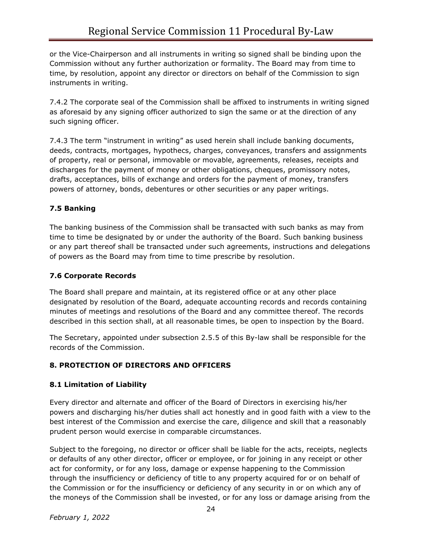or the Vice-Chairperson and all instruments in writing so signed shall be binding upon the Commission without any further authorization or formality. The Board may from time to time, by resolution, appoint any director or directors on behalf of the Commission to sign instruments in writing.

7.4.2 The corporate seal of the Commission shall be affixed to instruments in writing signed as aforesaid by any signing officer authorized to sign the same or at the direction of any such signing officer.

7.4.3 The term "instrument in writing" as used herein shall include banking documents, deeds, contracts, mortgages, hypothecs, charges, conveyances, transfers and assignments of property, real or personal, immovable or movable, agreements, releases, receipts and discharges for the payment of money or other obligations, cheques, promissory notes, drafts, acceptances, bills of exchange and orders for the payment of money, transfers powers of attorney, bonds, debentures or other securities or any paper writings.

# **7.5 Banking**

The banking business of the Commission shall be transacted with such banks as may from time to time be designated by or under the authority of the Board. Such banking business or any part thereof shall be transacted under such agreements, instructions and delegations of powers as the Board may from time to time prescribe by resolution.

# **7.6 Corporate Records**

The Board shall prepare and maintain, at its registered office or at any other place designated by resolution of the Board, adequate accounting records and records containing minutes of meetings and resolutions of the Board and any committee thereof. The records described in this section shall, at all reasonable times, be open to inspection by the Board.

The Secretary, appointed under subsection 2.5.5 of this By-law shall be responsible for the records of the Commission.

# **8. PROTECTION OF DIRECTORS AND OFFICERS**

# **8.1 Limitation of Liability**

Every director and alternate and officer of the Board of Directors in exercising his/her powers and discharging his/her duties shall act honestly and in good faith with a view to the best interest of the Commission and exercise the care, diligence and skill that a reasonably prudent person would exercise in comparable circumstances.

Subject to the foregoing, no director or officer shall be liable for the acts, receipts, neglects or defaults of any other director, officer or employee, or for joining in any receipt or other act for conformity, or for any loss, damage or expense happening to the Commission through the insufficiency or deficiency of title to any property acquired for or on behalf of the Commission or for the insufficiency or deficiency of any security in or on which any of the moneys of the Commission shall be invested, or for any loss or damage arising from the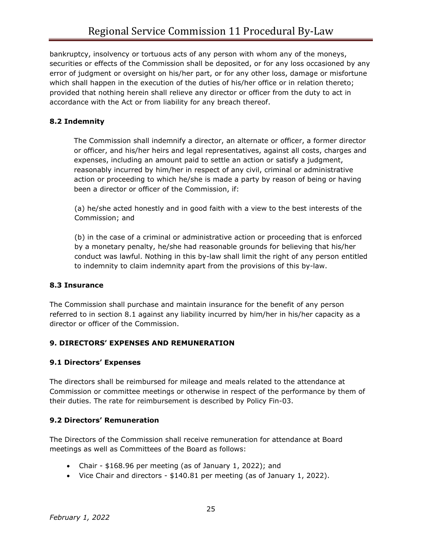bankruptcy, insolvency or tortuous acts of any person with whom any of the moneys, securities or effects of the Commission shall be deposited, or for any loss occasioned by any error of judgment or oversight on his/her part, or for any other loss, damage or misfortune which shall happen in the execution of the duties of his/her office or in relation thereto; provided that nothing herein shall relieve any director or officer from the duty to act in accordance with the Act or from liability for any breach thereof.

#### **8.2 Indemnity**

The Commission shall indemnify a director, an alternate or officer, a former director or officer, and his/her heirs and legal representatives, against all costs, charges and expenses, including an amount paid to settle an action or satisfy a judgment, reasonably incurred by him/her in respect of any civil, criminal or administrative action or proceeding to which he/she is made a party by reason of being or having been a director or officer of the Commission, if:

(a) he/she acted honestly and in good faith with a view to the best interests of the Commission; and

(b) in the case of a criminal or administrative action or proceeding that is enforced by a monetary penalty, he/she had reasonable grounds for believing that his/her conduct was lawful. Nothing in this by-law shall limit the right of any person entitled to indemnity to claim indemnity apart from the provisions of this by-law.

#### **8.3 Insurance**

The Commission shall purchase and maintain insurance for the benefit of any person referred to in section 8.1 against any liability incurred by him/her in his/her capacity as a director or officer of the Commission.

#### **9. DIRECTORS' EXPENSES AND REMUNERATION**

#### **9.1 Directors' Expenses**

The directors shall be reimbursed for mileage and meals related to the attendance at Commission or committee meetings or otherwise in respect of the performance by them of their duties. The rate for reimbursement is described by Policy Fin-03.

#### **9.2 Directors' Remuneration**

The Directors of the Commission shall receive remuneration for attendance at Board meetings as well as Committees of the Board as follows:

- Chair \$168.96 per meeting (as of January 1, 2022); and
- Vice Chair and directors \$140.81 per meeting (as of January 1, 2022).